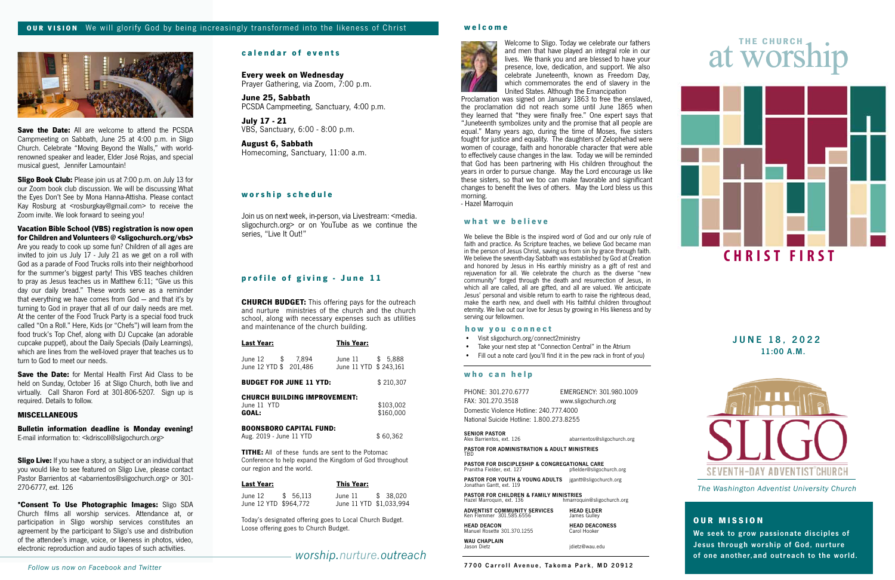# **what we believe**

We believe the Bible is the inspired word of God and our only rule of faith and practice. As Scripture teaches, we believe God became man in the person of Jesus Christ, saving us from sin by grace through faith. We believe the seventh-day Sabbath was established by God at Creation and honored by Jesus in His earthly ministry as a gift of rest and rejuvenation for all. We celebrate the church as the diverse "new community" forged through the death and resurrection of Jesus, in which all are called, all are gifted, and all are valued. We anticipate Jesus' personal and visible return to earth to raise the righteous dead, make the earth new, and dwell with His faithful children throughout eternity. We live out our love for Jesus by growing in His likeness and by serving our fellowmen.

Proclamation was signed on January 1863 to free the enslaved, the proclamation did not reach some until June 1865 when they learned that "they were finally free." One expert says that "Juneteenth symbolizes unity and the promise that all people are equal." Many years ago, during the time of Moses, five sisters fought for justice and equality. The daughters of Zelophehad were women of courage, faith and honorable character that were able to effectively cause changes in the law. Today we will be reminded that God has been partnering with His children throughout the years in order to pursue change. May the Lord encourage us like these sisters, so that we too can make favorable and significant changes to benefit the lives of others. May the Lord bless us this morning.<br>- Hazel Marroquin

# at worship

# **OUR MISSION**

We seek to grow passionate disciples of Jesus through worship of God, nurture of one another,and outreach to the world.

*The Washington Adventist University Church*

11:00 A.M. JUNE 18, 2022



# **calendar of events**

# *worship.nurture.outreach*

## **welcome**



# **w o r s h i p s c h e d u l e**

**Every week on Wednesday** Prayer Gathering, via Zoom, 7:00 p.m.

**June 25, Sabbath** PCSDA Campmeeting, Sanctuary, 4:00 p.m.

**July 17 - 21**<br>VBS, Sanctuary, 6:00 - 8:00 p.m.

PASTOR FOR YOUTH & YOUNG ADULTS jgantt@sligochurch.org Jonathan Gantt, ext. 119

**PASTOR FOR CHILDREN & FAMILY MINISTRIES**<br>Hazel Marroquin, ext. 136 hmarroquin **urrich Marroquin@sligochurch.org** 

**August 6, Sabbath** Homecoming, Sanctuary, 11:00 a.m.

Join us on next week, in-person, via Livestream: <media. sligochurch.org> or on YouTube as we continue the series, "Live It Out!"

### **who can help**

| PHONE: 301.270.6777                      | EMERGENCY: 301.980.1009 |  |  |  |
|------------------------------------------|-------------------------|--|--|--|
| FAX: 301.270.3518                        | www.sligochurch.org     |  |  |  |
| Domestic Violence Hotline: 240.777.4000  |                         |  |  |  |
| National Suicide Hotline: 1.800.273.8255 |                         |  |  |  |
|                                          |                         |  |  |  |

# SENIOR PASTOR<br>Alex Barrientos, ext. 126 **abarrientos@sligochurch.org**

PASTOR FOR ADMINISTRATION & ADULT MINISTRIES TBD

**PASTOR FOR DISCIPLESHIP & CONGREGATIONAL CARE**<br>Pranitha Fielder, ext. 127 **propriet of a propriet of propriet of the propriet of the Pranitha Fielder** Pranitha Fielder, ext. 127

**Save the Date:** for Mental Health First Aid Class to be held on Sunday, October 16 at Sligo Church, both live and virtually. Call Sharon Ford at 301-806-5207. Sign up is required. Details to follow.

| <b>ADVENTIST COMMUNITY SERVICES</b> | <b>HEAD ELDER</b>     |
|-------------------------------------|-----------------------|
| Ken Flemmer 301.585.6556            | James Gulley          |
| <b>HEAD DEACON</b>                  | <b>HEAD DEACONESS</b> |
| Manuel Rosette 301.370.1255         | Carol Hooker          |

WAU CHAPLAIN<br>Jason Dietz idietz@wau.edu

**Sligo Live:** If you have a story, a subject or an individual that you would like to see featured on Sligo Live, please contact Pastor Barrientos at <abarrientos@sligochurch.org> or 301-270-6777, ext. 126



# **profile of giving - June 11**

**CHURCH BUDGET:** This offering pays for the outreach and nurture ministries of the church and the church school, along with necessary expenses such as utilities and maintenance of the church building.

| <b>Last Year:</b>                          |                                     | <b>This Year:</b>                          |                        |
|--------------------------------------------|-------------------------------------|--------------------------------------------|------------------------|
| June 12 \$ 7,894<br>June 12 YTD \$ 201,486 |                                     | June 11 \$ 5,888<br>June 11 YTD \$ 243,161 |                        |
| <b>BUDGET FOR JUNE 11 YTD:</b>             |                                     |                                            | \$210,307              |
| June 11 YTD<br>GOAL:                       | <b>CHURCH BUILDING IMPROVEMENT:</b> |                                            | \$103,002<br>\$160,000 |
| Aug. 2019 - June 11 YTD                    | <b>BOONSBORO CAPITAL FUND:</b>      |                                            | \$60,362               |

**TITHE:** All of these funds are sent to the Potomac Conference to help expand the Kingdom of God throughout our region and the world.

| <u>Last Year:</u>     | <b>This Year:</b>       |  |
|-----------------------|-------------------------|--|
| June 12 \$ 56,113     | June 11 \$ 38.020       |  |
| June 12 YTD \$964,772 | June 11 YTD \$1,033,994 |  |

Today's designated offering goes to Local Church Budget. Loose offering goes to Church Budget.

#### **how you connect**

- Visit sligochurch.org/connect2ministry
- Take your next step at "Connection Central" in the Atrium
- Fill out a note card (you'll find it in the pew rack in front of you)



**Save the Date:** All are welcome to attend the PCSDA Campmeeting on Sabbath, June 25 at 4:00 p.m. in Sligo Church. Celebrate "Moving Beyond the Walls," with worldrenowned speaker and leader, Elder José Rojas, and special musical guest, Jennifer Lamountain!

**Sligo Book Club:** Please join us at 7:00 p.m. on July 13 for our Zoom book club discussion. We will be discussing What the Eyes Don't See by Mona Hanna-Attisha. Please contact Kay Rosburg at <rosburgkay@gmail.com> to receive the Zoom invite. We look forward to seeing you!

# **Vacation Bible School (VBS) registration is now open for Children and Volunteers @ <sligochurch.org/vbs>**

Are you ready to cook up some fun? Children of all ages are invited to join us July 17 - July 21 as we get on a roll with God as a parade of Food Trucks rolls into their neighborhood for the summer's biggest party! This VBS teaches children to pray as Jesus teaches us in Matthew 6:11; "Give us this day our daily bread." These words serve as a reminder that everything we have comes from God — and that it's by turning to God in prayer that all of our daily needs are met. At the center of the Food Truck Party is a special food truck called "On a Roll." Here, Kids (or "Chefs") will learn from the food truck's Top Chef, along with DJ Cupcake (an adorable cupcake puppet), about the Daily Specials (Daily Learnings), which are lines from the well-loved prayer that teaches us to turn to God to meet our needs.

## **MISCELLANEOUS**

**Bulletin information deadline is Monday evening!** E-mail information to: <kdriscoll@sligochurch.org>

**\*Consent To Use Photographic Images:** Sligo SDA Church films all worship services. Attendance at, or participation in Sligo worship services constitutes an agreement by the participant to Sligo's use and distribution of the attendee's image, voice, or likeness in photos, video, electronic reproduction and audio tapes of such activities.

Welcome to Sligo. Today we celebrate our fathers and men that have played an integral role in our lives. We thank you and are blessed to have your presence, love, dedication, and support. We also celebrate Juneteenth, known as Freedom Day, which commemorates the end of slavery in the United States. Although the Emancipation